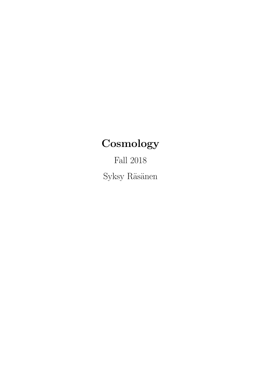# **Cosmology**

Fall 2018  $\rm Syksy$ Räsänen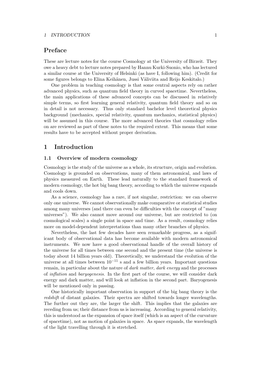# Preface

These are lecture notes for the course Cosmology at the University of Birzeit. They owe a heavy debt to lecture notes prepared by Hannu Kurki-Suonio, who has lectured a similar course at the University of Helsinki (as have I, following him). (Credit for some figures belongs to Elina Keihänen, Jussi Väliviita and Reijo Keskitalo.)

One problem in teaching cosmology is that some central aspects rely on rather advanced physics, such as quantum field theory in curved spacetime. Nevertheless, the main applications of these advanced concepts can be discussed in relatively simple terms, so first learning general relativity, quantum field theory and so on in detail is not necessary. Thus only standard bachelor level theoretical physics background (mechanics, special relativity, quantum mechanics, statistical physics) will be assumed in this course. The more advanced theories that cosmology relies on are reviewed as part of these notes to the required extent. This means that some results have to be accepted without proper derivation.

# 1 Introduction

# 1.1 Overview of modern cosmology

Cosmology is the study of the universe as a whole, its structure, origin and evolution. Cosmology is grounded on observations, many of them astronomical, and laws of physics measured on Earth. These lead naturally to the standard framework of modern cosmology, the hot big bang theory, according to which the universe expands and cools down.

As a science, cosmology has a rare, if not singular, restriction: we can observe only one universe. We cannot observationally make comparative or statistical studies among many universes (and there can even be difficulties with the concept of "many universes"). We also cannot move around our universe, but are restricted to (on cosmological scales) a single point in space and time. As a result, cosmology relies more on model-dependent interpretations than many other branches of physics.

Nevertheless, the last few decades have seen remarkable progress, as a significant body of observational data has become available with modern astronomical instruments. We now have a good observational handle of the overall history of the universe for all times between one second and the present time (the universe is today about 14 billion years old). Theoretically, we understand the evolution of the universe at all times between  $10^{-11}$  s and a few billion years. Important questions remain, in particular about the nature of dark matter, dark energy and the processes of inflation and baryogenesis. In the first part of the course, we will consider dark energy and dark matter, and will look at inflation in the second part. Baryogenesis will be mentioned only in passing.

One historically important observation in support of the big bang theory is the redshift of distant galaxies. Their spectra are shifted towards longer wavelengths. The further out they are, the larger the shift. This implies that the galaxies are receding from us; their distance from us is increasing. According to general relativity, this is understood as the expansion of space itself (which is an aspect of the curvature of spacetime), not as motion of galaxies in space. As space expands, the wavelength of the light travelling through it is stretched.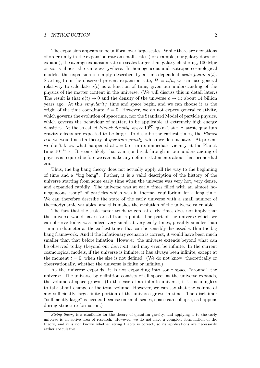era.

The expansion appears to be uniform over large scales. While there are deviations of order unity in the expansion rate on small scales (for example, our galaxy does not expand), the average expansion rate on scales larger than galaxy clustering, 100 Mpc or so, is almost the same everywhere. In homogeneous and isotropic cosmological models, the expansion is simply described by a time-dependent scale factor  $a(t)$ . Starting from the observed present expansion rate,  $H = \dot{a}/a$ , we can use general relativity to calculate  $a(t)$  as a function of time, given our understanding of the physics of the matter content in the universe. (We will discuss this in detail later.) The result is that  $a(t) \to 0$  and the density of the universe  $\rho \to \infty$  about 14 billion years ago. At this singularity, time and space begin, and we can choose it as the origin of the time coordinate,  $t = 0$ . However, we do not expect general relativity, which governs the evolution of spacetime, nor the Standard Model of particle physics, which governs the behaviour of matter, to be applicable at extremely high energy densities. At the so called *Planck density*,  $\rho_{\text{Pl}} \sim 10^{97} \text{ kg/m}^3$ , at the latest, quantum gravity effects are expected to be large. To describe the earliest times, the Planck era, we would need a theory of quantum gravity, which we do not have.<sup>1</sup> At present we don't know what happened at  $t = 0$  or in its immediate vicinity at the Planck time  $10^{-42}$  s. It seems likely that a major breakthrough in our understanding of physics is required before we can make any definite statements about that primordial

Thus, the big bang theory does not actually apply all the way to the beginning of time and a "big bang". Rather, it is a valid description of the history of the universe starting from some early time when the universe was very hot, very dense, and expanded rapidly. The universe was at early times filled with an almost homogeneous "soup" of particles which was in thermal equilibrium for a long time. We can therefore describe the state of the early universe with a small number of thermodynamic variables, and this makes the evolution of the universe calculable.

The fact that the scale factor tends to zero at early times does not imply that the universe would have started from a point. The part of the universe which we can observe today was indeed very small at very early times, possibly smaller than 1 mm in diameter at the earliest times that can be sensibly discussed within the big bang framework. And if the inflationary scenario is correct, it would have been much smaller than that before inflation. However, the universe extends beyond what can be observed today (beyond our horizon), and may even be infinite. In the current cosmological models, if the universe is infinite, it has always been infinite, except at the moment  $t = 0$ , when the size is not defined. (We do not know, theoretically or observationally, whether the universe is finite or infinite.)

As the universe expands, it is not expanding into some space "around" the universe. The universe by definition consists of all space: as the universe expands, the volume of space grows. (In the case of an infinite universe, it is meaningless to talk about change of the total volume. However, we can say that the volume of any sufficiently large finite portion of the universe grows in time. The disclaimer "sufficiently large" is needed because on small scales, space can collapse, as happens during structure formation.)

<sup>&</sup>lt;sup>1</sup> String theory is a candidate for the theory of quantum gravity, and applying it to the early universe is an active area of research. However, we do not have a complete formulation of the theory, and it is not known whether string theory is correct, so its applications are necessarily rather speculative.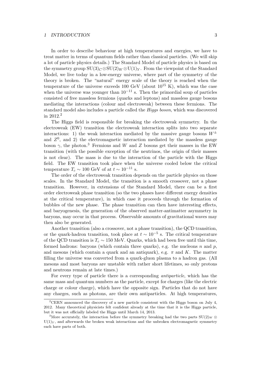In order to describe behaviour at high temperatures and energies, we have to treat matter in terms of quantum fields rather than classical particles. (We will skip a lot of particle physics details.) The Standard Model of particle physics is based on the symmetry group  $SU(3)_{C} \otimes SU(2)_{W} \otimes U(1)_{Y}$ . From the viewpoint of the Standard Model, we live today in a low-energy universe, where part of the symmetry of the theory is broken. The "natural" energy scale of the theory is reached when the temperature of the universe exceeds 100 GeV (about  $10^{15}$  K), which was the case when the universe was younger than  $10^{-11}$  s. Then the primordial soup of particles consisted of free massless fermions (quarks and leptons) and massless gauge bosons mediating the interactions (colour and electroweak) between these fermions. The standard model also includes a particle called the Higgs boson, which was discovered in  $2012.<sup>2</sup>$ 

The Higgs field is responsible for breaking the electroweak symmetry. In the electroweak (EW) transition the electroweak interaction splits into two separate interactions: 1) the weak interaction mediated by the massive gauge bosons  $W^{\pm}$ and  $Z^0$ , and 2) the electromagnetic interaction mediated by the massless gauge boson  $\gamma$ , the photon.<sup>3</sup> Fermions and W and Z bosons get their masses in the EW transition (with the possible exception of the neutrinos, the origin of their masses is not clear). The mass is due to the interaction of the particle with the Higgs field. The EW transition took place when the universe cooled below the critical temperature  $T_c \sim 100 \text{ GeV}$  of at  $t \sim 10^{-11} \text{ s.}$ 

The order of the electroweak transition depends on the particle physics on those scales. In the Standard Model, the transition is a smooth crossover, not a phase transition. However, in extensions of the Standard Model, there can be a first order electroweak phase transition (so the two phases have different energy densities at the critical temperature), in which case it proceeds through the formation of bubbles of the new phase. The phase transition can then have interesting effects, and baryogenesis, the generation of the observed matter-antimatter asymmetry in baryons, may occur in that process. Observable amounts of gravitational waves may then also be generated.

Another transition (also a crossover, not a phase transition), the QCD transition, or the quark-hadron transition, took place at  $t \sim 10^{-5}$  s. The critical temperature of the QCD transition is  $T_c \sim 150$  MeV. Quarks, which had been free until this time, formed hadrons: baryons (which contain three quarks), e.g. the nucleons n and  $p$ , and mesons (which contain a quark and an antiquark), e.g.  $\pi$  and K. The matter filling the universe was converted from a quark-gluon plasma to a hadron gas. (All mesons and most baryons are unstable with rather short lifetimes, so only protons and neutrons remain at late times.)

For every type of particle there is a corresponding antiparticle, which has the same mass and quantum numbers as the particle, except for charges (like the electric charge or colour charge), which have the opposite sign. Particles that do not have any charges, such as photons, are their own antiparticles. At high temperatures,

 ${}^{2}$ CERN announced the discovery of a new particle consistent with the Higgs boson on July 4, 2012. Many theoretical physicists felt confident already at the time that it is the Higgs particle, but it was not officially labeled the Higgs until March 14, 2013.

<sup>&</sup>lt;sup>3</sup>More accurately, the interaction before the symmetry breaking had the two parts  $SU(2)_W \otimes$  $U(1)_Y$ , and afterwards the broken weak interactions and the unbroken electromagnetic symmetry each have parts of both.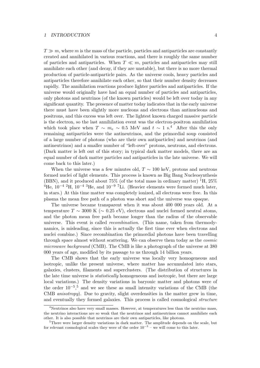$T \gg m$ , where m is the mass of the particle, particles and antiparticles are constantly created and annihilated in various reactions, and there is roughly the same number of particles and antiparticles. When  $T \ll m$ , particles and antiparticles may still annihilate each other (and decay, if they are unstable), but there is no more thermal production of particle-antiparticle pairs. As the universe cools, heavy particles and antiparticles therefore annihilate each other, so that their number density decreases rapidly. The annihilation reactions produce lighter particles and antiparticles. If the universe would originally have had an equal number of particles and antiparticles, only photons and neutrinos (of the known particles) would be left over today in any significant quantity. The presence of matter today indicates that in the early universe there must have been slightly more nucleons and electrons than antinucleons and positrons, and this excess was left over. The lightest known charged massive particle is the electron, so the last annihilation event was the electron-positron annihilation which took place when  $T \sim m_e \sim 0.5$  MeV and  $t \sim 1$  s.<sup>4</sup> After this the only remaining antiparticles were the antineutrinos, and the primordial soup consisted of a large number of photons (who are their own antiparticles) and neutrinos (and antineutrinos) and a smaller number of "left-over" protons, neutrons, and electrons. (Dark matter is left out of this story; in typical dark matter models, there are an equal number of dark matter particles and antiparticles in the late universe. We will come back to this later.)

When the universe was a few minutes old,  $T \sim 100 \text{ keV}$ , protons and neutrons formed nuclei of light elements. This process is known as Big Bang Nucleosynthesis (BBN), and it produced about 75% (of the total mass in ordinary matter)  ${}^{1}H$ , 25% <sup>4</sup>He,  $10^{-4}$  <sup>2</sup>H,  $10^{-4}$  <sup>3</sup>He, and  $10^{-9}$  <sup>7</sup>Li. (Heavier elements were formed much later, in stars.) At this time matter was completely ionized, all electrons were free. In this plasma the mean free path of a photon was short and the universe was opaque.

The universe became transparent when it was about 400 000 years old. At a temperature  $T \sim 3000 \text{ K } (\sim 0.25 \text{ eV})$ , electrons and nuclei formed neutral atoms, and the photon mean free path became longer than the radius of the observable universe. This event is called recombination. (This name, taken from thermodynamics, is misleading, since this is actually the first time ever when electrons and nuclei combine.) Since recombination the primordial photons have been travelling through space almost without scattering. We can observe them today as the cosmic microwave background (CMB). The CMB is like a photograph of the universe at 380 000 years of age, modified by its passage to us through 14 billion years.

The CMB shows that the early universe was locally very homogeneous and isotropic, unlike the present universe, where matter has accumulated into stars, galaxies, clusters, filaments and superclusters. (The distribution of structures in the late time universe is statistically homogeneous and isotropic, but there are large local variations.) The density variations in baryonic matter and photons were of the order  $10^{-5}$ ,<sup>5</sup> and we see these as small intensity variations of the CMB (the CMB anisotropy). Due to gravity, slight overdensities in the matter grew in time, and eventually they formed galaxies. This process is called cosmological structure

<sup>&</sup>lt;sup>4</sup>Neutrinos also have very small masses. However, at temperatures less than the neutrino mass, the neutrino interactions are so weak that the neutrinos and antineutrinos cannot annihilate each other. It is also possible that neutrinos are their own antiparticles, like photons.

 $5$ There were larger density variations in dark matter. The amplitude depends on the scale, but for relevant cosmological scales they were of the order  $10^{-3}$  – we will come to this later.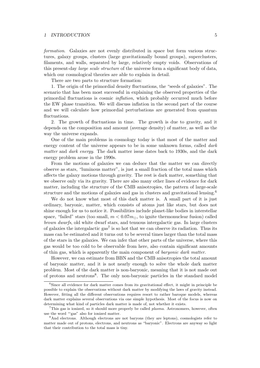formation. Galaxies are not evenly distributed in space but form various structures, galaxy groups, clusters (large gravitationally bound groups), superclusters, filaments, and walls, separated by large, relatively empty voids. Observations of this present-day large scale structure of the universe form a significant body of data, which our cosmological theories are able to explain in detail.

There are two parts to structure formation:

1. The origin of the primordial density fluctuations, the "seeds of galaxies". The scenario that has been most successful in explaining the observed properties of the primordial fluctuations is cosmic inflation, which probably occurred much before the EW phase transition. We will discuss inflation in the second part of the course and we will calculate how primordial perturbations are generated from quantum fluctuations.

2. The growth of fluctuations in time. The growth is due to gravity, and it depends on the composition and amount (average density) of matter, as well as the way the universe expands.

One of the main problems in cosmology today is that most of the matter and energy content of the universe appears to be in some unknown forms, called *dark* matter and dark energy. The dark matter issue dates back to 1930s, and the dark energy problem arose in the 1990s.

From the motions of galaxies we can deduce that the matter we can directly observe as stars, "luminous matter", is just a small fraction of the total mass which affects the galaxy motions through gravity. The rest is dark matter, something that we observe only via its gravity. There are also many other lines of evidence for dark matter, including the structure of the CMB anisotropies, the pattern of large-scale structure and the motions of galaxies and gas in clusters and gravitational lensing.<sup>6</sup>

We do not know what most of this dark matter is. A small part of it is just ordinary, baryonic, matter, which consists of atoms just like stars, but does not shine enough for us to notice it. Possibilities include planet-like bodies in interstellar space, "failed" stars (too small,  $m < 0.07 m_{\odot}$ , to ignite thermonuclear fusion) called brown dwarfs, old white dwarf stars, and tenuous intergalactic gas. In large clusters of galaxies the intergalactic gas<sup>7</sup> is so hot that we can observe its radiation. Thus its mass can be estimated and it turns out to be several times larger than the total mass of the stars in the galaxies. We can infer that other parts of the universe, where this gas would be too cold to be observable from here, also contain significant amounts of thin gas, which is apparently the main component of baryonic dark matter.

However, we can estimate from BBN and the CMB anisotropies the total amount of baryonic matter, and it is not nearly enough to solve the whole dark matter problem. Most of the dark matter is non-baryonic, meaning that it is not made out of protons and neutrons<sup>8</sup>. The only non-baryonic particles in the standard model

 $6$ Since all evidence for dark matter comes from its gravitational effect, it might in principle be possible to explain the observations without dark matter by modifying the laws of gravity instead. However, fitting all the different observations requires resort to rather baroque models, whereas dark matter explains several observations via one simple hypothesis. Most of the focus is now on determining what kind of particles dark matter is made of, not whether it exists.

<sup>&</sup>lt;sup>7</sup>This gas is ionized, so it should more properly be called *plasma*. Astronomers, however, often use the word "'gas" also for ionized matter.

<sup>&</sup>lt;sup>8</sup>And electrons. Although electrons are not baryons (they are leptons), cosmologists refer to matter made out of protons, electrons, and neutrons as "baryonic". Electrons are anyway so light that their contribution to the total mass is tiny.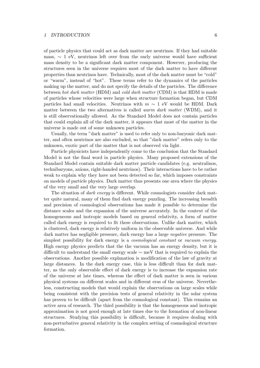of particle physics that could act as dark matter are neutrinos. If they had suitable mass,  $\sim 1$  eV, neutrinos left over from the early universe would have sufficient mass density to be a significant dark matter component. However, producing the structures seen in the universe requires most of the dark matter to have different properties than neutrinos have. Technically, most of the dark matter must be "cold" or "warm", instead of "hot". These terms refer to the dynamics of the particles making up the matter, and do not specify the details of the particles. The difference between hot dark matter (HDM) and cold dark matter (CDM) is that HDM is made of particles whose velocities were large when structure formation began, but CDM particles had small velocities. Neutrinos with  $m \sim 1$  eV would be HDM. Dark matter between the two alternatives is called *warm dark matter* (WDM), and it is still observationally allowed. As the Standard Model does not contain particles that could explain all of the dark matter, it appears that most of the matter in the universe is made out of some unknown particles.

Usually, the term "dark matter" is used to refer only to non-baryonic dark matter, and often neutrinos are also excluded, so that "dark matter" refers only to the unknown, exotic part of the matter that is not observed via light.

Particle physicists have independently come to the conclusion that the Standard Model is not the final word in particle physics. Many proposed extensions of the Standard Model contain suitable dark matter particle candidates (e.g. neutralinos, technibaryons, axions, right-handed neutrinos). Their interactions have to be rather weak to explain why they have not been detected so far, which imposes constraints on models of particle physics. Dark matter thus presents one area where the physics of the very small and the very large overlap.

The situation of *dark energy* is different. While cosmologists consider dark matter quite natural, many of them find dark energy puzzling. The increasing breadth and precision of cosmological observations has made it possible to determine the distance scales and the expansion of the universe accurately. In the context of the homogeneous and isotropic models based on general relativity, a form of matter called dark energy is required to fit these observations. Unlike dark matter, which is clustered, dark energy is relatively uniform in the observable universe. And while dark matter has negligible pressure, dark energy has a large negative pressure. The simplest possibility for dark energy is a cosmological constant or vacuum energy. High energy physics predicts that the the vacuum has an energy density, but it is difficult to understand the small energy scale ∼ meV that is required to explain the observations. Another possible explanation is modification of the law of gravity at large distances. In the dark energy case, this is less difficult than for dark matter, as the only observable effect of dark energy is to increase the expansion rate of the universe at late times, whereas the effect of dark matter is seen in various physical systems on different scales and in different eras of the universe. Nevertheless, constructing models that would explain the observations on large scales while being consistent with the precision tests of general relativity in the solar system has proven to be difficult (apart from the cosmological constant). This remains an active area of research. The third possibility is that the homogeneous and isotropic approximation is not good enough at late times due to the formation of non-linear structures. Studying this possibility is difficult, because it requires dealing with non-perturbative general relativity in the complex setting of cosmological structure formation.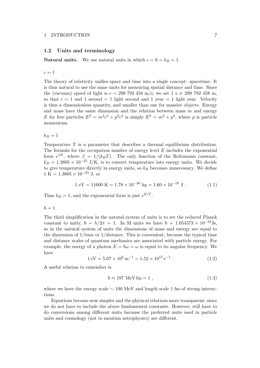## 1.2 Units and terminology

**Natural units.** We use natural units in which  $c = \hbar = k_B = 1$ .

 $c=1$ 

The theory of relativity unifies space and time into a single concept: spacetime. It is thus natural to use the same units for measuring spatial distance and time. Since the (vacuum) speed of light is  $c = 299\,792\,458\,\mathrm{m/s}$ , we set  $1 \text{ s} \equiv 299\,792\,458\,\mathrm{m}$ , so that  $c = 1$  and 1 second = 1 light second and 1 year = 1 light year. Velocity is thus a dimensionless quantity, and smaller than one for massive objects. Energy and mass have the same dimension and the relation between mass  $m$  and energy E for free particles  $E^2 = m^2c^4 + p^2c^2$  is simply  $E^2 = m^2 + p^2$ , where p is particle momentum.

 $k_B = 1$ 

Temperature T is a parameter that describes a thermal equilibrium distribution. The formula for the occupation number of energy level  $E$  includes the exponential form  $e^{\beta E}$ , where  $\beta = 1/(k_B T)$ . The only function of the Boltzmann constant,  $k_B = 1.3805 \times 10^{-23}$  J/K, is to convert temperature into energy units. We decide to give temperature directly in energy units, so  $k_B$  becomes unnecessary. We define  $1 \text{ K} = 1.3805 \times 10^{-23} \text{ J}$ , or

$$
1 \text{ eV} = 11600 \text{ K} = 1.78 \times 10^{-36} \text{ kg} = 1.60 \times 10^{-19} \text{ J} \,. \tag{1.1}
$$

Thus  $k_B = 1$ , and the exponential form is just  $e^{E/T}$ .

 $\hbar = 1$ 

The third simplification in the natural system of units is to set the reduced Planck constant to unity,  $\hbar = h/2\pi = 1$ . In SI units we have  $\hbar = 1.054573 \times 10^{-34}$ Js. so in the natural system of units the dimensions of mass and energy are equal to the dimension of  $1$ /time or  $1$ /distance. This is convenient, because the typical time and distance scales of quantum mechanics are associated with particle energy. For example, the energy of a photon  $E = \hbar \omega = \omega$  is equal to its angular frequency. We have

$$
1 \,\mathrm{eV} = 5.07 \times 10^6 \,\mathrm{m}^{-1} = 1.52 \times 10^{15} \,\mathrm{s}^{-1} \,. \tag{1.2}
$$

A useful relation to remember is

$$
\hbar \approx 197 \text{ MeV fm} = 1 , \qquad (1.3)
$$

where we have the energy scale  $\sim 100$  MeV and length scale 1 fm of strong interactions.

Equations become now simpler and the physical relations more transparent, since we do not have to include the above fundamental constants. However, still have to do conversions among different units because the preferred units used in particle units and cosmology (not to mention astrophysics) are different.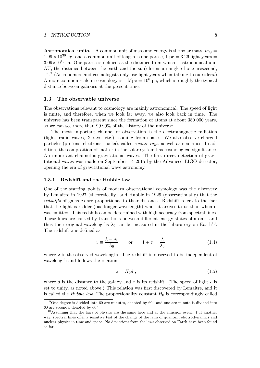**Astronomical units.** A common unit of mass and energy is the solar mass,  $m_{\odot} =$  $1.99 \times 10^{30}$  kg, and a common unit of length is one parsec, 1 pc = 3.26 light years =  $3.09 \times 10^{16}$  m. One parsec is defined as the distance from which 1 astronomical unit AU, the distance between the earth and the sun) forms an angle of one arcsecond, 1".<sup>9</sup> (Astronomers and cosmologists only use light years when talking to outsiders.) A more common scale in cosmology is  $1 \text{ Mpc} = 10^6 \text{ pc}$ , which is roughly the typical distance between galaxies at the present time.

### 1.3 The observable universe

The observations relevant to cosmology are mainly astronomical. The speed of light is finite, and therefore, when we look far away, we also look back in time. The universe has been transparent since the formation of atoms at about 380 000 years, so we can see more than 99.99% of the history of the universe.

The most important channel of observation is the electromagnetic radiation (light, radio waves, X-rays, etc.) coming from space. We also observe charged particles (protons, electrons, nuclei), called cosmic rays, as well as neutrinos. In addition, the composition of matter in the solar system has cosmological significance. An important channel is gravitational waves. The first direct detection of gravitational waves was made on September 14 2015 by the Advanced LIGO detector, opening the era of gravitational wave astronomy.

# 1.3.1 Redshift and the Hubble law

One of the starting points of modern observational cosmology was the discovery by Lemaˆıtre in 1927 (theoretically) and Hubble in 1929 (observationally) that the redshifts of galaxies are proportional to their distance. Redshift refers to the fact that the light is redder (has longer wavelength) when it arrives to us than when it was emitted. This redshift can be determined with high accuracy from spectral lines. These lines are caused by transitions between different energy states of atoms, and thus their original wavelengths  $\lambda_0$  can be measured in the laboratory on Earth<sup>10</sup>. The redshift z is defined as

$$
z \equiv \frac{\lambda - \lambda_0}{\lambda_0} \qquad \text{or} \qquad 1 + z = \frac{\lambda}{\lambda_0} \tag{1.4}
$$

where  $\lambda$  is the observed wavelength. The redshift is observed to be independent of wavelength and follows the relation

$$
z = H_0 d \t{1.5}
$$

where d is the distance to the galaxy and z is its redshift. (The speed of light c is set to unity, as noted above.) This relation was first discovered by Lemaître, and it is called the *Hubble law*. The proportionality constant  $H_0$  is correspondingly called

 $9$ One degree is divided into 60 arc minutes, denoted by 60', and one arc minute is divided into 60 arc seconds, denoted by 60".

<sup>&</sup>lt;sup>10</sup>Assuming that the laws of physics are the same here and at the emission event. Put another way, spectral lines offer a sensitive test of the change of the laws of quantum electrodynamics and nuclear physics in time and space. No deviations from the laws observed on Earth have been found so far.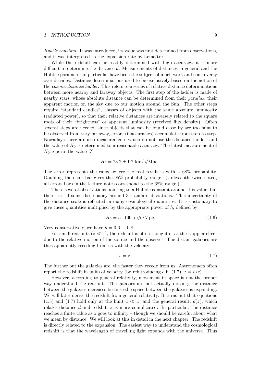Hubble constant. It was introduced, its value was first determined from observations, and it was interpreted as the expansion rate by Lemaître.

While the redshift can be readily determined with high accuracy, it is more difficult to determine the distance d. Measurements of distances in general and the Hubble parameter in particular have been the subject of much work and controversy over decades. Distance determinations used to be exclusively based on the notion of the cosmic distance ladder. This refers to a series of relative distance determinations between more nearby and faraway objects. The first step of the ladder is made of nearby stars, whose absolute distance can be determined from their parallax, their apparent motion on the sky due to our motion around the Sun. The other steps require "standard candles", classes of objects with the same absolute luminosity (radiated power), so that their relative distances are inversely related to the square roots of their "brightness" or apparent luminosity (received flux density). Often several steps are needed, since objects that can be found close by are too faint to be observed from very far away, errors (inaccuracies) accumulate from step to step. Nowadays there are also measurements which do not use the distance ladder, and the value of  $H_0$  is determined to a reasonable accuracy. The latest measurement of  $H_0$  reports the value [?]

$$
H_0 = 73.2 \pm 1.7 \text{ km/s/Mpc}.
$$

The error represents the range where the real result is with a 68% probability. Doubling the error bar gives the 95% probability range. (Unless otherwise noted, all errors bars in the lecture notes correspond to the 68% range.)

There several observations pointing to a Hubble constant around this value, but there is still some discrepancy around 3 standard deviations. This uncertainty of the distance scale is reflected in many cosmological quantities. It is customary to give these quantities multiplied by the appropriate power of  $h$ , defined by

$$
H_0 = h \cdot 100 \text{km/s/Mpc.}
$$
\n
$$
(1.6)
$$

Very conservatively, we have  $h = 0.6 \dots 0.8$ .

For small redshifts  $(z \ll 1)$ , the redshift is often thought of as the Doppler effect due to the relative motion of the source and the observer. The distant galaxies are thus apparently receding from us with the velocity

$$
v = z \tag{1.7}
$$

The further out the galaxies are, the faster they recede from us. Astronomers often report the redshift in units of velocity (by reintroducing c in (1.7),  $z = v/c$ .

However, according to general relativity, movement in space is not the proper way understand the redshift. The galaxies are not actually moving, the distance between the galaxies increases because the space between the galaxies is expanding. We will later derive the redshift from general relativity. It turns out that equations (1.5) and (1.7) hold only at the limit  $z \ll 1$ , and the general result,  $d(z)$ , which relates distance  $d$  and redshift  $z$  is more complicated. In particular, the distance reaches a finite value as z goes to infinity – though we should be careful about what we mean by distance! We will look at this in detail in the next chapter. The redshift is directly related to the expansion. The easiest way to understand the cosmological redshift is that the wavelength of travelling light expands with the universe. Thus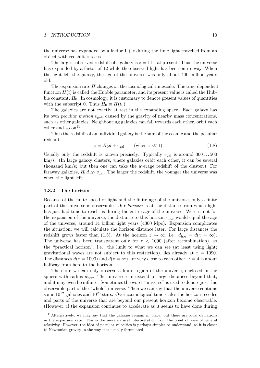the universe has expanded by a factor  $1 + z$  during the time light travelled from an object with redshift z to us.

The largest observed redshift of a galaxy is  $z = 11.1$  at present. Thus the universe has expanded by a factor of 12 while the observed light has been on its way. When the light left the galaxy, the age of the universe was only about 400 million years old.

The expansion rate  $H$  changes on the cosmological timescale. The time-dependent function  $H(t)$  is called the Hubble parameter, and its present value is called the Hubble constant,  $H_0$ . In cosmology, it is customary to denote present values of quantities with the subscript 0. Thus  $H_0 \equiv H(t_0)$ .

The galaxies are not exactly at rest in the expanding space. Each galaxy has its own *peculiar motion*  $v_{\text{gal}}$ , caused by the gravity of nearby mass concentrations, such as other galaxies. Neighbouring galaxies can fall towards each other, orbit each other and so  $\text{on}^{11}$ .

Thus the redshift of an individual galaxy is the sum of the cosmic and the peculiar redshift.

$$
z = H_0 d + v_{\text{gal}} \qquad \text{(when } z \ll 1) \tag{1.8}
$$

Usually only the redshift is known precisely. Typically  $v_{\text{gal}}$  is around  $300...500$ km/s. (In large galaxy clusters, where galaxies orbit each other, it can be several thousand km/s; but then one can take the average redshift of the cluster.) For faraway galaxies,  $H_0d \gg v_{\text{gal}}$ . The larger the redshift, the younger the universe was when the light left.

# 1.3.2 The horizon

Because of the finite speed of light and the finite age of the universe, only a finite part of the universe is observable. Our horizon is at the distance from which light has just had time to reach us during the entire age of the universe. Were it not for the expansion of the universe, the distance to this horizon  $r_{\text{hor}}$  would equal the age of the universe, around 14 billion light years (4300 Mpc). Expansion complicates the situation; we will calculate the horizon distance later. For large distances the redshift grows faster than (1.5). At the horizon  $z \to \infty$ , i.e.  $d_{\text{hor}} = d(z = \infty)$ . The universe has been transparent only for  $z < 1090$  (after recombination), so the "practical horizon", i.e. the limit to what we can see (at least using light; gravitational waves are not subject to this restriction), lies already at  $z = 1090$ . The distances  $d(z = 1090)$  and  $d(z = \infty)$  are very close to each other;  $z = 4$  is about halfway from here to the horizon.

Therefore we can only observe a finite region of the universe, enclosed in the sphere with radius  $d_{\text{hor}}$ . The universe can extend to large distances beyond that, and it may even be infinite. Sometimes the word "universe" is used to denote just this observable part of the "whole" universe. Then we can say that the universe contains some  $10^{12}$  galaxies and  $10^{23}$  stars. Over cosmological time scales the horizon recedes and parts of the universe that are beyond our present horizon become observable. (However, if the expansion continues to accelerate as it seems to have done during

 $11$ Alternatively, we may say that the galaxies remain in place, but there are local deviations in the expansion rate. This is the more natural interpretation from the point of view of general relativity. However, the idea of peculiar velocities is perhaps simpler to understand, as it is closer to Newtonian gravity in the way it is usually formulated.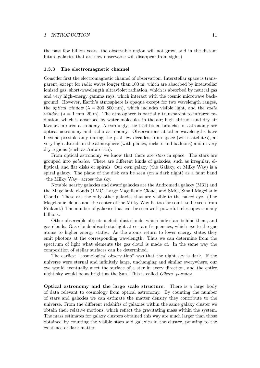the past few billion years, the observable region will not grow, and in the distant future galaxies that are now observable will disappear from sight.)

# 1.3.3 The electromagnetic channel

Consider first the electromagnetic channel of observation. Interstellar space is transparent, except for radio waves longer than 100 m, which are absorbed by interstellar ionized gas, short-wavelength ultraviolet radiation, which is absorbed by neutral gas and very high-energy gamma rays, which interact with the cosmic microwave background. However, Earth's atmosphere is opaque except for two wavelength ranges, the *optical window* ( $\lambda = 300{\text -}800$  nm), which includes visible light, and the *radio* window ( $\lambda = 1$  mm–20 m). The atmosphere is partially transparent to infrared radiation, which is absorbed by water molecules in the air; high altitude and dry air favours infrared astronomy. Accordingly, the traditional branches of astronomy are optical astronomy and radio astronomy. Observations at other wavelengths have become possible only during the past few decades, from space (with satellites), at very high altitude in the atmosphere (with planes, rockets and balloons) and in very dry regions (such as Antarctica).

From optical astronomy we know that there are *stars* in space. The stars are grouped into galaxies. There are different kinds of galaxies, such as irregular, elliptical, and flat disks or spirals. Our own galaxy (the Galaxy, or Milky Way) is a spiral galaxy. The plane of the disk can be seen (on a dark night) as a faint band –the Milky Way– across the sky.

Notable nearby galaxies and dwarf galaxies are the Andromeda galaxy (M31) and the Magellanic clouds (LMC, Large Magellanic Cloud, and SMC, Small Magellanic Cloud). These are the only other galaxies that are visible to the naked eye. (The Magellanic clouds and the center of the Milky Way lie too far south to be seen from Finland.) The number of galaxies that can be seen with powerful telescopes is many billions.

Other observable objects include dust clouds, which hide stars behind them, and gas clouds. Gas clouds absorb starlight at certain frequencies, which excite the gas atoms to higher energy states. As the atoms return to lower energy states they emit photons at the corresponding wavelength. Thus we can determine from the spectrum of light what elements the gas cloud is made of. In the same way the composition of stellar surfaces can be determined.

The earliest "cosmological observation" was that the night sky is dark. If the universe were eternal and infinitely large, unchanging and similar everywhere, our eye would eventually meet the surface of a star in every direction, and the entire night sky would be as bright as the Sun. This is called Olbers' paradox.

Optical astronomy and the large scale structure. There is a large body of data relevant to cosmology from optical astronomy. By counting the number of stars and galaxies we can estimate the matter density they contribute to the universe. From the different redshifts of galaxies within the same galaxy cluster we obtain their relative motions, which reflect the gravitating mass within the system. The mass estimates for galaxy clusters obtained this way are much larger than those obtained by counting the visible stars and galaxies in the cluster, pointing to the existence of dark matter.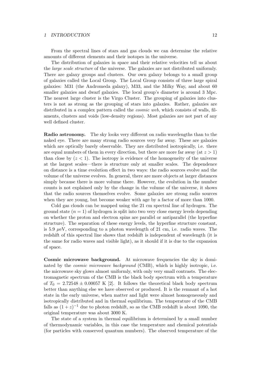From the spectral lines of stars and gas clouds we can determine the relative amounts of different elements and their isotopes in the universe.

The distribution of galaxies in space and their relative velocities tell us about the large scale structure of the universe. The galaxies are not distributed uniformly. There are galaxy groups and clusters. Our own galaxy belongs to a small group of galaxies called the Local Group. The Local Group consists of three large spiral galaxies: M31 (the Andromeda galaxy), M33, and the Milky Way, and about 60 smaller galaxies and dwarf galaxies. The local group's diameter is around 3 Mpc. The nearest large cluster is the Virgo Cluster. The grouping of galaxies into clusters is not as strong as the grouping of stars into galaxies. Rather, galaxies are distributed in a complex pattern called the *cosmic web*, which consists of walls, filaments, clusters and voids (low-density regions). Most galaxies are not part of any well defined cluster.

Radio astronomy. The sky looks very different on radio wavelengths than to the naked eye. There are many strong radio sources very far away. These are galaxies which are optically barely observable. They are distributed isotropically, i.e. there are equal numbers of them in every direction, but there are more far away (at  $z > 1$ ) than close by  $(z < 1)$ . The isotropy is evidence of the homogeneity of the universe at the largest scales—there is structure only at smaller scales. The dependence on distance is a time evolution effect in two ways: the radio sources evolve and the volume of the universe evolves. In general, there are more objects at larger distances simply because there is more volume there. However, the evolution in the number counts is not explained only by the change in the volume of the universe, it shows that the radio sources themselves evolve. Some galaxies are strong radio sources when they are young, but become weaker with age by a factor of more than 1000.

Cold gas clouds can be mapped using the 21 cm spectral line of hydrogen. The ground state  $(n = 1)$  of hydrogen is split into two very close energy levels depending on whether the proton and electron spins are parallel or antiparallel (the hyperfine structure). The separation of these energy levels, the hyperfine structure constant, is 5.9  $\mu$ eV, corresponding to a photon wavelength of 21 cm, i.e. radio waves. The redshift of this spectral line shows that redshift is independent of wavelength (it is the same for radio waves and visible light), as it should if it is due to the expansion of space.

Cosmic microwave background. At microwave frequencies the sky is dominated by the *cosmic microwave background* (CMB), which is highly isotropic, i.e. the microwave sky glows almost uniformly, with only very small contrasts. The electromagnetic spectrum of the CMB is the black body spectrum with a temperature of  $T_0 = 2.72548 \pm 0.00057$  K [2]. It follows the theoretical black body spectrum better than anything else we have observed or produced. It is the remnant of a hot state in the early universe, when matter and light were almost homogeneously and isotropically distributed and in thermal equilibrium. The temperature of the CMB falls as  $(1+z)^{-1}$  due to photon redshift, so as the CMB redshift is about 1090, the original temperature was about 3000 K.

The state of a system in thermal equilibrium is determined by a small number of thermodynamic variables, in this case the temperature and chemical potentials (for particles with conserved quantum numbers). The observed temperature of the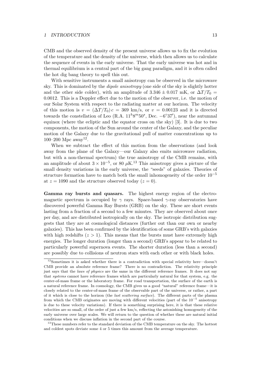CMB and the observed density of the present universe allows us to fix the evolution of the temperature and the density of the universe, which then allows us to calculate the sequence of events in the early universe. That the early universe was hot and in thermal equilibrium is a central part of the big gang paradigm, and it is often called the hot dig bang theory to spell this out.

With sensitive instruments a small anisotropy can be observed in the microwave sky. This is dominated by the dipole anisotropy (one side of the sky is slightly hotter and the other side colder), with an amplitude of 3.346  $\pm$  0.017 mK, or  $\Delta T/T_0$  = 0.0012. This is a Doppler effect due to the motion of the observer, i.e. the motion of our Solar System with respect to the radiating matter at our horizon. The velocity of this motion is  $v = (\Delta T/T_0) c = 369$  km/s, or  $v = 0.00123$  and it is directed towards the constellation of Leo (R.A.  $11^h8^m50^s$ , Dec.  $-6°37'$ ), near the autumnal equinox (where the ecliptic and the equator cross on the sky) [3]. It is due to two components, the motion of the Sun around the center of the Galaxy, and the peculiar motion of the Galaxy due to the gravitational pull of matter concentrations up to 100–200 Mpc away<sup>12</sup>.

When we subtract the effect of this motion from the observations (and look away from the plane of the Galaxy—our Galaxy also emits microwave radiation, but with a non-thermal spectrum) the true anisotropy of the CMB remains, with an amplitude of about  $3 \times 10^{-5}$ , or 80  $\mu$ K.<sup>13</sup> This anisotropy gives a picture of the small density variations in the early universe, the "seeds" of galaxies. Theories of structure formation have to match both the small inhomogeneity of the order  $10^{-5}$ at  $z = 1090$  and the structure observed today  $(z = 0)$ .

Gamma ray bursts and quasars. The highest energy region of the electromagnetic spectrum is occupied by  $\gamma$  rays. Space-based  $\gamma$ -ray observatories have discovered powerful Gamma Ray Bursts (GRB) on the sky. These are short events lasting from a fraction of a second to a few minutes. They are observed about once per day, and are distributed isotropically on the sky. The isotropic distribution suggests that they are at cosmological distances (further out than our own or nearby galaxies). This has been confirmed by the identification of some GRB's with galaxies with high redshifts  $(z > 1)$ . This means that the bursts must have extremely high energies. The longer duration (longer than a second) GRB's appear to be related to particularly powerful supernova events. The shorter duration (less than a second) are possibly due to collisions of neutron stars with each other or with black holes.

<sup>&</sup>lt;sup>12</sup>Sometimes it is asked whether there is a contradiction with special relativity here—doesn't CMB provide an absolute reference frame? There is no contradiction. The relativity principle just says that the laws of physics are the same in the different reference frames. It does not say that systems cannot have reference frames which are particularly natural for that system, e.g. the center-of-mass frame or the laboratory frame. For road transportation, the surface of the earth is a natural reference frame. In cosmology, the CMB gives us a good "natural" reference frame—it is closely related to the center-of-mass frame of the observable part of the universe, or rather, a part of it which is close to the horizon (the last scattering surface). The different parts of the plasma from which the CMB originates are moving with different velocities (part of the  $10^{-5}$  anisotropy is due to these velocity variations). If there is something surprising here, it is that these relative velocities are so small, of the order of just a few km/s, reflecting the astonishing homogeneity of the early universe over large scales. We will return to the question of whether these are natural initial conditions when we discuss inflation in the second part of the course.

<sup>&</sup>lt;sup>13</sup>These numbers refer to the standard deviation of the CMB temperature on the sky. The hottest and coldest spots deviate some 4 or 5 times this amount from the average temperature.